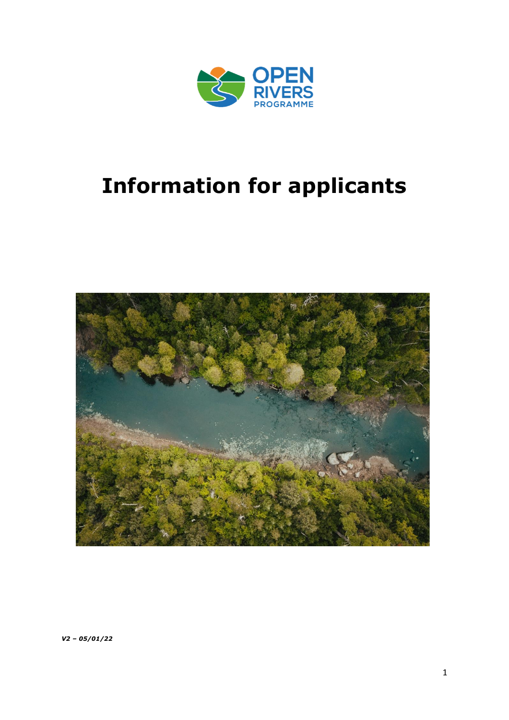

# **Information for applicants**



*V2 – 05/01/22*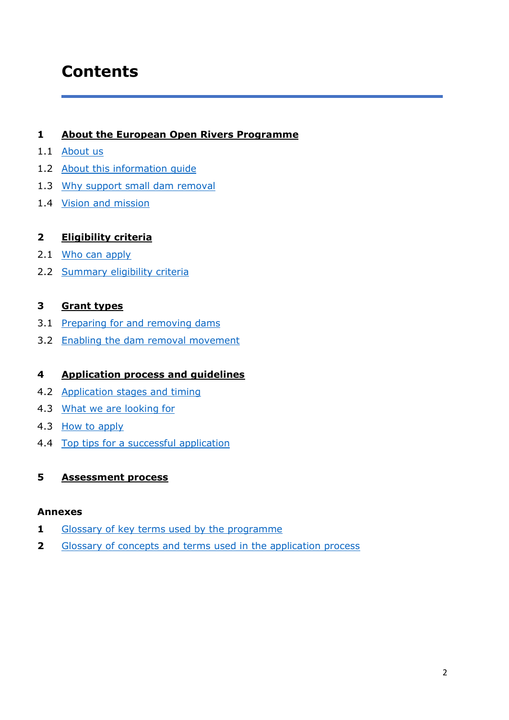# **Contents**

# **1 [About the European Open Rivers Programme](#page-2-0)**

- 1.1 [About us](#page-2-1)
- 1.2 [About this information guide](#page-2-2)
- 1.3 [Why support small dam removal](#page-2-3)
- 1.4 [Vision and mission](#page-3-0)

# **2 [Eligibility criteria](#page-4-0)**

- 2.1 [Who can apply](#page-4-1)
- 2.2 [Summary eligibility criteria](#page-4-2)

# **3 [Grant types](#page-6-0)**

- 3.1 [Preparing for and removing dams](#page-6-1)
- 3.2 Enabling the dam removal movement

# **4 [Application process](#page-8-0) and guidelines**

- 4.2 [Application stages and timing](#page-8-1)
- 4.3 [What we are looking for](#page-8-2)
- 4.3 [How to apply](#page-10-0)
- 4.4 [Top tips for a successful](#page-13-0) application

# **5 [Assessment process](#page-16-0)**

## **Annexes**

- **1** Glossary of key terms [used by the programme](#page-17-0)
- **2** [Glossary of concepts and terms used in the application process](#page-19-0)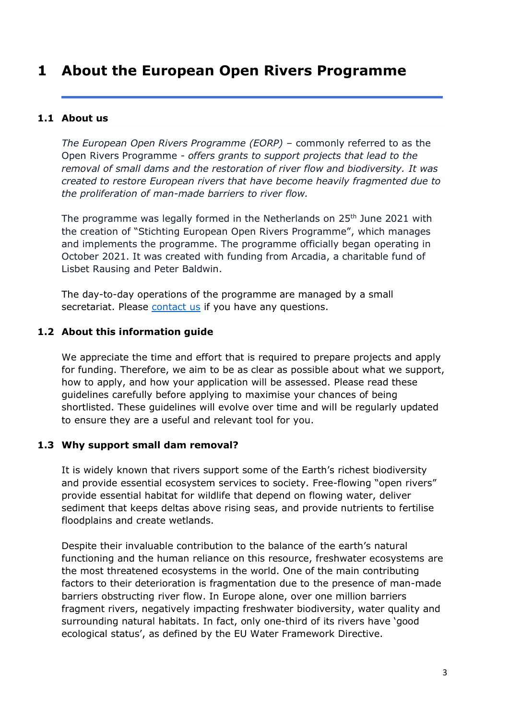# <span id="page-2-0"></span>**1 About the European Open Rivers Programme**

# <span id="page-2-1"></span>**1.1 About us**

*The European Open Rivers Programme (EORP)* – commonly referred to as the Open Rivers Programme - *offers grants to support projects that lead to the removal of small dams and the restoration of river flow and biodiversity. It was created to restore European rivers that have become heavily fragmented due to the proliferation of man-made barriers to river flow.*

The programme was legally formed in the Netherlands on  $25<sup>th</sup>$  June 2021 with the creation of "Stichting European Open Rivers Programme", which manages and implements the programme. The programme officially began operating in October 2021. It was created with funding from Arcadia, a charitable fund of Lisbet Rausing and Peter Baldwin.

The day-to-day operations of the programme are managed by a small secretariat. Please [contact us](mailto:applications@openrivers.eu) if you have any questions.

# <span id="page-2-2"></span>**1.2 About this information guide**

We appreciate the time and effort that is required to prepare projects and apply for funding. Therefore, we aim to be as clear as possible about what we support, how to apply, and how your application will be assessed. Please read these guidelines carefully before applying to maximise your chances of being shortlisted. These guidelines will evolve over time and will be regularly updated to ensure they are a useful and relevant tool for you.

# <span id="page-2-3"></span>**1.3 Why support small dam removal?**

It is widely known that rivers support some of the Earth's richest biodiversity and provide essential ecosystem services to society. Free-flowing "open rivers" provide essential habitat for wildlife that depend on flowing water, deliver sediment that keeps deltas above rising seas, and provide nutrients to fertilise floodplains and create wetlands.

Despite their invaluable contribution to the balance of the earth's natural functioning and the human reliance on this resource, freshwater ecosystems are the most threatened ecosystems in the world. One of the main contributing factors to their deterioration is fragmentation due to the presence of man-made barriers obstructing river flow. In Europe alone, over one million barriers fragment rivers, negatively impacting freshwater biodiversity, water quality and surrounding natural habitats. In fact, only one-third of its rivers have 'good ecological status', as defined by the EU Water Framework Directive.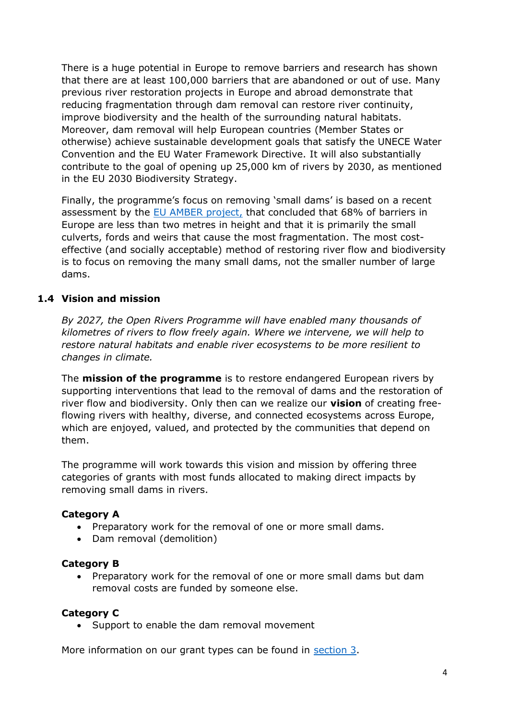There is a huge potential in Europe to remove barriers and research has shown that there are at least 100,000 barriers that are abandoned or out of use. Many previous river restoration projects in Europe and abroad demonstrate that reducing fragmentation through dam removal can restore river continuity, improve biodiversity and the health of the surrounding natural habitats. Moreover, dam removal will help European countries (Member States or otherwise) achieve sustainable development goals that satisfy the UNECE Water Convention and the EU Water Framework Directive. It will also substantially contribute to the goal of opening up 25,000 km of rivers by 2030, as mentioned in the EU 2030 Biodiversity Strategy.

Finally, the programme's focus on removing 'small dams' is based on a recent assessment by the [EU AMBER project,](https://amber.international/about/) that concluded that 68% of barriers in Europe are less than two metres in height and that it is primarily the small culverts, fords and weirs that cause the most fragmentation. The most costeffective (and socially acceptable) method of restoring river flow and biodiversity is to focus on removing the many small dams, not the smaller number of large dams.

# <span id="page-3-0"></span>**1.4 Vision and mission**

*By 2027, the Open Rivers Programme will have enabled many thousands of kilometres of rivers to flow freely again. Where we intervene, we will help to restore natural habitats and enable river ecosystems to be more resilient to changes in climate.*

The **mission of the programme** is to restore endangered European rivers by supporting interventions that lead to the removal of dams and the restoration of river flow and biodiversity. Only then can we realize our **vision** of creating freeflowing rivers with healthy, diverse, and connected ecosystems across Europe, which are enjoyed, valued, and protected by the communities that depend on them.

The programme will work towards this vision and mission by offering three categories of grants with most funds allocated to making direct impacts by removing small dams in rivers.

# **Category A**

- Preparatory work for the removal of one or more small dams.
- Dam removal (demolition)

# **Category B**

• Preparatory work for the removal of one or more small dams but dam removal costs are funded by someone else.

# **Category C**

• Support to enable the dam removal movement

More information on our grant types can be found in [section 3.](#page-6-0)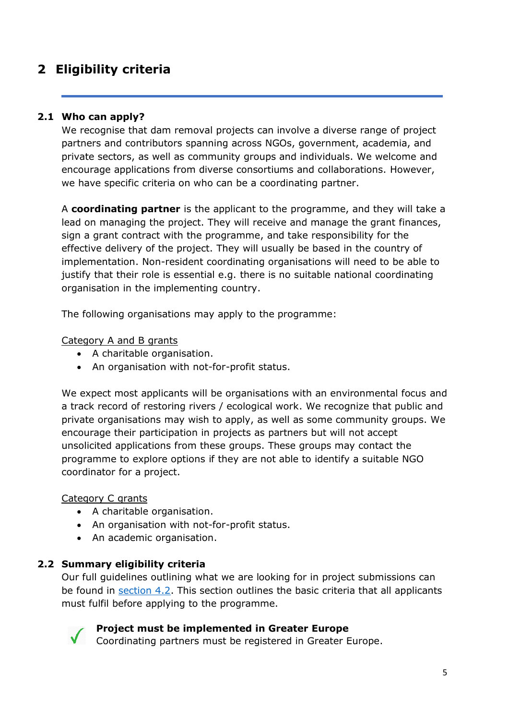# <span id="page-4-0"></span>**2 Eligibility criteria**

# **2.1 Who can apply?**

<span id="page-4-1"></span>We recognise that dam removal projects can involve a diverse range of project partners and contributors spanning across NGOs, government, academia, and private sectors, as well as community groups and individuals. We welcome and encourage applications from diverse consortiums and collaborations. However, we have specific criteria on who can be a coordinating partner.

A **coordinating partner** is the applicant to the programme, and they will take a lead on managing the project. They will receive and manage the grant finances, sign a grant contract with the programme, and take responsibility for the effective delivery of the project. They will usually be based in the country of implementation. Non-resident coordinating organisations will need to be able to justify that their role is essential e.g. there is no suitable national coordinating organisation in the implementing country.

The following organisations may apply to the programme:

## Category A and B grants

- A charitable organisation.
- An organisation with not-for-profit status.

We expect most applicants will be organisations with an environmental focus and a track record of restoring rivers / ecological work. We recognize that public and private organisations may wish to apply, as well as some community groups. We encourage their participation in projects as partners but will not accept unsolicited applications from these groups. These groups may contact the programme to explore options if they are not able to identify a suitable NGO coordinator for a project.

## Category C grants

- A charitable organisation.
- An organisation with not-for-profit status.
- An academic organisation.

# **2.2 Summary eligibility criteria**

<span id="page-4-2"></span>Our full guidelines outlining what we are looking for in project submissions can be found in [section 4.2.](#page-8-2) This section outlines the basic criteria that all applicants must fulfil before applying to the programme.



## **Project must be implemented in Greater Europe**

Coordinating partners must be registered in Greater Europe.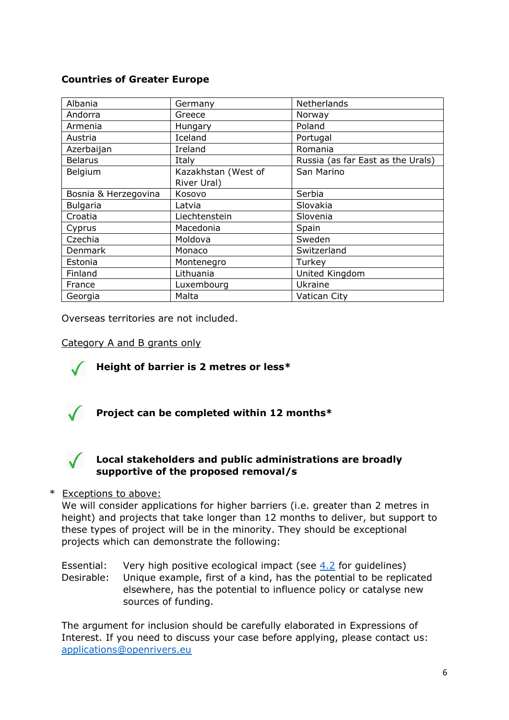# **Countries of Greater Europe**

| Albania              | Germany             | <b>Netherlands</b>                |  |
|----------------------|---------------------|-----------------------------------|--|
| Andorra              | Greece              | Norway                            |  |
| Armenia              | Hungary             | Poland                            |  |
| Austria              | Iceland             | Portugal                          |  |
| Azerbaijan           | Ireland             | Romania                           |  |
| <b>Belarus</b>       | Italy               | Russia (as far East as the Urals) |  |
| Belgium              | Kazakhstan (West of | San Marino                        |  |
|                      | River Ural)         |                                   |  |
| Bosnia & Herzegovina | Kosovo              | Serbia                            |  |
| <b>Bulgaria</b>      | Latvia              | Slovakia                          |  |
| Croatia              | Liechtenstein       | Slovenia                          |  |
| Cyprus               | Macedonia           | Spain                             |  |
| Czechia              | Moldova             | Sweden                            |  |
| Denmark              | Monaco              | Switzerland                       |  |
| Estonia              | Montenegro          | Turkey                            |  |
| Finland              | Lithuania           | United Kingdom                    |  |
| France               | Luxembourg          | Ukraine                           |  |
| Georgia              | Malta               | Vatican City                      |  |

Overseas territories are not included.

## Category A and B grants only



**Height of barrier is 2 metres or less\***



**Project can be completed within 12 months\***

# **Local stakeholders and public administrations are broadly supportive of the proposed removal/s**

## \* Exceptions to above:

We will consider applications for higher barriers (i.e. greater than 2 metres in height) and projects that take longer than 12 months to deliver, but support to these types of project will be in the minority. They should be exceptional projects which can demonstrate the following:

Essential: Very high positive ecological impact (see [4.2](#page-8-2) for guidelines) Desirable: Unique example, first of a kind, has the potential to be replicated elsewhere, has the potential to influence policy or catalyse new sources of funding.

The argument for inclusion should be carefully elaborated in Expressions of Interest. If you need to discuss your case before applying, please contact us: [applications@openrivers.eu](mailto:applications@openrivers.eu)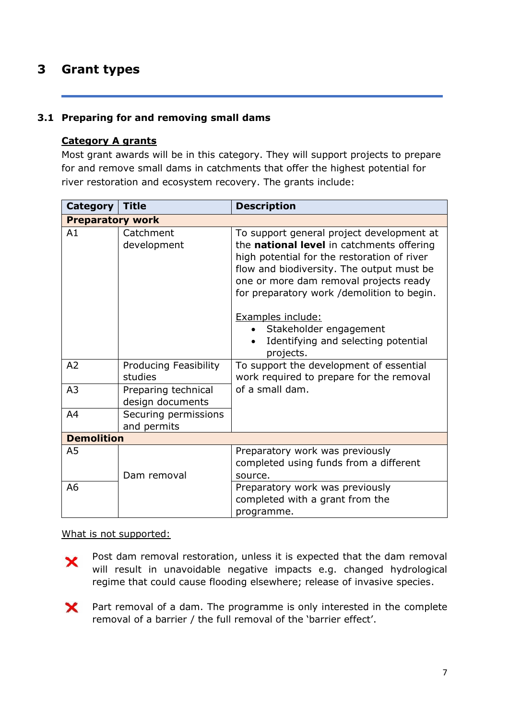# <span id="page-6-0"></span>**3 Grant types**

# <span id="page-6-1"></span>**3.1 Preparing for and removing small dams**

# **Category A grants**

Most grant awards will be in this category. They will support projects to prepare for and remove small dams in catchments that offer the highest potential for river restoration and ecosystem recovery. The grants include:

| <b>Category</b>         | <b>Title</b>                            | <b>Description</b>                                                                                                                                                                                                                                                                                                                                                            |  |  |
|-------------------------|-----------------------------------------|-------------------------------------------------------------------------------------------------------------------------------------------------------------------------------------------------------------------------------------------------------------------------------------------------------------------------------------------------------------------------------|--|--|
| <b>Preparatory work</b> |                                         |                                                                                                                                                                                                                                                                                                                                                                               |  |  |
| A1                      | Catchment<br>development                | To support general project development at<br>the national level in catchments offering<br>high potential for the restoration of river<br>flow and biodiversity. The output must be<br>one or more dam removal projects ready<br>for preparatory work /demolition to begin.<br>Examples include:<br>Stakeholder engagement<br>Identifying and selecting potential<br>projects. |  |  |
| A2                      | <b>Producing Feasibility</b><br>studies | To support the development of essential<br>work required to prepare for the removal                                                                                                                                                                                                                                                                                           |  |  |
| A <sub>3</sub>          | Preparing technical<br>design documents | of a small dam.                                                                                                                                                                                                                                                                                                                                                               |  |  |
| A <sub>4</sub>          | Securing permissions<br>and permits     |                                                                                                                                                                                                                                                                                                                                                                               |  |  |
| <b>Demolition</b>       |                                         |                                                                                                                                                                                                                                                                                                                                                                               |  |  |
| A <sub>5</sub>          | Dam removal                             | Preparatory work was previously<br>completed using funds from a different<br>source.                                                                                                                                                                                                                                                                                          |  |  |
| A <sub>6</sub>          |                                         | Preparatory work was previously<br>completed with a grant from the<br>programme.                                                                                                                                                                                                                                                                                              |  |  |

What is not supported:

Post dam removal restoration, unless it is expected that the dam removal × will result in unavoidable negative impacts e.g. changed hydrological regime that could cause flooding elsewhere; release of invasive species.

 $\mathsf{\mathsf{x}}$ Part removal of a dam. The programme is only interested in the complete removal of a barrier / the full removal of the 'barrier effect'.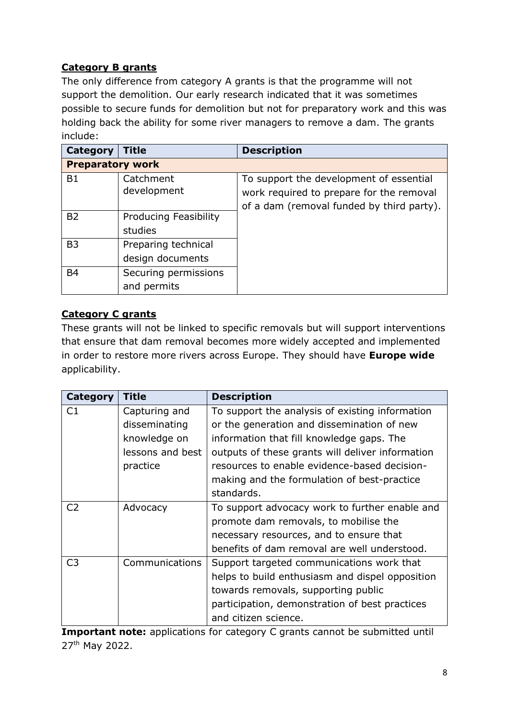# **Category B grants**

The only difference from category A grants is that the programme will not support the demolition. Our early research indicated that it was sometimes possible to secure funds for demolition but not for preparatory work and this was holding back the ability for some river managers to remove a dam. The grants include:

| Category                | <b>Title</b>                 | <b>Description</b>                        |  |  |
|-------------------------|------------------------------|-------------------------------------------|--|--|
| <b>Preparatory work</b> |                              |                                           |  |  |
| <b>B1</b>               | Catchment                    | To support the development of essential   |  |  |
|                         | development                  | work required to prepare for the removal  |  |  |
|                         |                              | of a dam (removal funded by third party). |  |  |
| B <sub>2</sub>          | <b>Producing Feasibility</b> |                                           |  |  |
|                         | studies                      |                                           |  |  |
| B <sub>3</sub>          | Preparing technical          |                                           |  |  |
|                         | design documents             |                                           |  |  |
| <b>B4</b>               | Securing permissions         |                                           |  |  |
|                         | and permits                  |                                           |  |  |

# **Category C grants**

These grants will not be linked to specific removals but will support interventions that ensure that dam removal becomes more widely accepted and implemented in order to restore more rivers across Europe. They should have **Europe wide** applicability.

| Category       | <b>Title</b>     | <b>Description</b>                               |
|----------------|------------------|--------------------------------------------------|
| C <sub>1</sub> | Capturing and    | To support the analysis of existing information  |
|                | disseminating    | or the generation and dissemination of new       |
|                | knowledge on     | information that fill knowledge gaps. The        |
|                | lessons and best | outputs of these grants will deliver information |
|                | practice         | resources to enable evidence-based decision-     |
|                |                  | making and the formulation of best-practice      |
|                |                  | standards.                                       |
| C <sub>2</sub> | Advocacy         | To support advocacy work to further enable and   |
|                |                  | promote dam removals, to mobilise the            |
|                |                  | necessary resources, and to ensure that          |
|                |                  | benefits of dam removal are well understood.     |
| C <sub>3</sub> | Communications   | Support targeted communications work that        |
|                |                  | helps to build enthusiasm and dispel opposition  |
|                |                  | towards removals, supporting public              |
|                |                  | participation, demonstration of best practices   |
|                |                  | and citizen science.                             |

**Important note:** applications for category C grants cannot be submitted until 27th May 2022.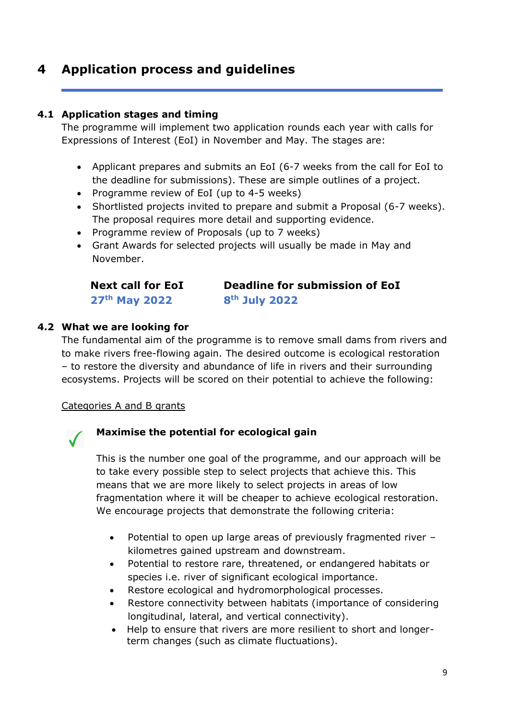# <span id="page-8-0"></span>**4 Application process and guidelines**

# **4.1 Application stages and timing**

<span id="page-8-1"></span>The programme will implement two application rounds each year with calls for Expressions of Interest (EoI) in November and May. The stages are:

- Applicant prepares and submits an EoI (6-7 weeks from the call for EoI to the deadline for submissions). These are simple outlines of a project.
- Programme review of EoI (up to 4-5 weeks)
- Shortlisted projects invited to prepare and submit a Proposal (6-7 weeks). The proposal requires more detail and supporting evidence.
- Programme review of Proposals (up to 7 weeks)
- Grant Awards for selected projects will usually be made in May and November.

**Next call for EoI 27th May 2022**

**Deadline for submission of EoI 8th July 2022**

# **4.2 What we are looking for**

<span id="page-8-2"></span>The fundamental aim of the programme is to remove small dams from rivers and to make rivers free-flowing again. The desired outcome is ecological restoration – to restore the diversity and abundance of life in rivers and their surrounding ecosystems. Projects will be scored on their potential to achieve the following:

# Categories A and B grants



# **Maximise the potential for ecological gain**

This is the number one goal of the programme, and our approach will be to take every possible step to select projects that achieve this. This means that we are more likely to select projects in areas of low fragmentation where it will be cheaper to achieve ecological restoration. We encourage projects that demonstrate the following criteria:

- Potential to open up large areas of previously fragmented river kilometres gained upstream and downstream.
- Potential to restore rare, threatened, or endangered habitats or species i.e. river of significant ecological importance.
- Restore ecological and hydromorphological processes.
- Restore connectivity between habitats (importance of considering longitudinal, lateral, and vertical connectivity).
- Help to ensure that rivers are more resilient to short and longerterm changes (such as climate fluctuations).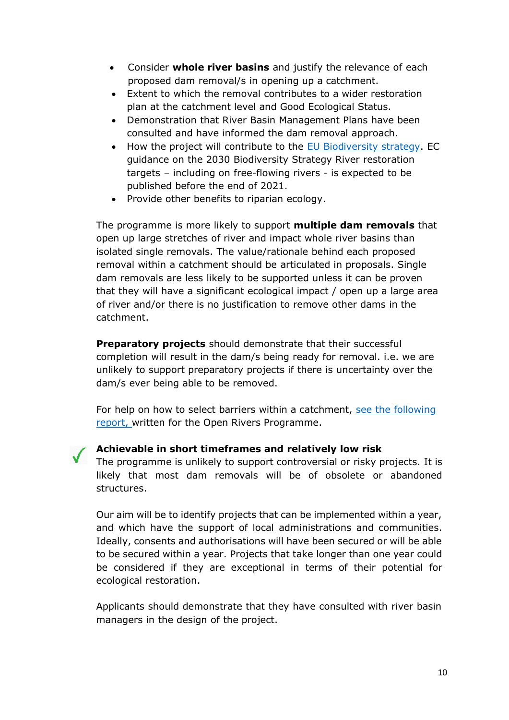- Consider **whole river basins** and justify the relevance of each proposed dam removal/s in opening up a catchment.
- Extent to which the removal contributes to a wider restoration plan at the catchment level and Good Ecological Status.
- Demonstration that River Basin Management Plans have been consulted and have informed the dam removal approach.
- How the project will contribute to the [EU Biodiversity strategy.](https://ec.europa.eu/environment/strategy/biodiversity-strategy-2030_en) EC guidance on the 2030 Biodiversity Strategy River restoration targets – including on free-flowing rivers - is expected to be published before the end of 2021.
- Provide other benefits to riparian ecology.

The programme is more likely to support **multiple dam removals** that open up large stretches of river and impact whole river basins than isolated single removals. The value/rationale behind each proposed removal within a catchment should be articulated in proposals. Single dam removals are less likely to be supported unless it can be proven that they will have a significant ecological impact / open up a large area of river and/or there is no justification to remove other dams in the catchment.

**Preparatory projects** should demonstrate that their successful completion will result in the dam/s being ready for removal. i.e. we are unlikely to support preparatory projects if there is uncertainty over the dam/s ever being able to be removed.

For help on how to select barriers within a catchment, [see the following](https://openrivers.eu/wp-content/uploads/2021/11/Carlos-Garcia-de-Leaniz-Prioritisation-Systems-Report_3_Sept_2021.pdf)  [report, w](https://openrivers.eu/wp-content/uploads/2021/11/Carlos-Garcia-de-Leaniz-Prioritisation-Systems-Report_3_Sept_2021.pdf)ritten for the Open Rivers Programme.

# **Achievable in short timeframes and relatively low risk**

The programme is unlikely to support controversial or risky projects. It is likely that most dam removals will be of obsolete or abandoned structures.

Our aim will be to identify projects that can be implemented within a year, and which have the support of local administrations and communities. Ideally, consents and authorisations will have been secured or will be able to be secured within a year. Projects that take longer than one year could be considered if they are exceptional in terms of their potential for ecological restoration.

Applicants should demonstrate that they have consulted with river basin managers in the design of the project.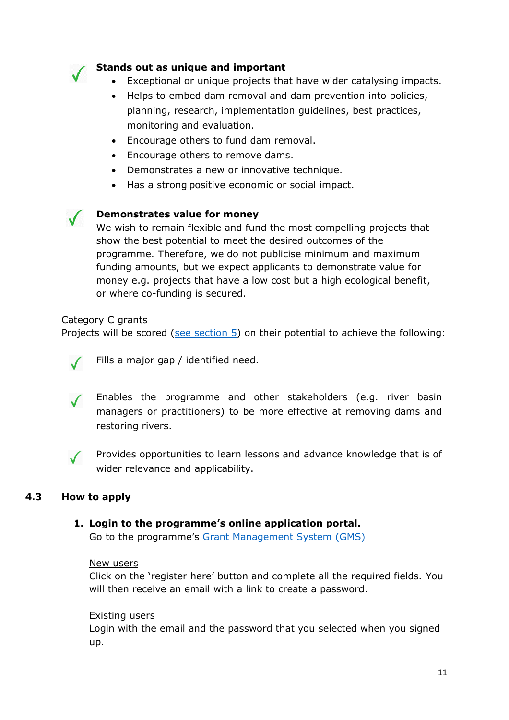

# **Stands out as unique and important**

- Exceptional or unique projects that have wider catalysing impacts.
- Helps to embed dam removal and dam prevention into policies, planning, research, implementation guidelines, best practices, monitoring and evaluation.
- Encourage others to fund dam removal.
- Encourage others to remove dams.
- Demonstrates a new or innovative technique.
- Has a strong positive economic or social impact.

## **Demonstrates value for money**

We wish to remain flexible and fund the most compelling projects that show the best potential to meet the desired outcomes of the programme. Therefore, we do not publicise minimum and maximum funding amounts, but we expect applicants to demonstrate value for money e.g. projects that have a low cost but a high ecological benefit, or where co-funding is secured.

## Category C grants

Projects will be scored [\(see section 5\)](#page-16-0) on their potential to achieve the following:



Fills a major gap / identified need.

Enables the programme and other stakeholders (e.g. river basin managers or practitioners) to be more effective at removing dams and restoring rivers.



Provides opportunities to learn lessons and advance knowledge that is of wider relevance and applicability.

## **4.3 How to apply**

## <span id="page-10-0"></span>**1. Login to the programme's online application portal.**

Go to the programme's [Grant Management System \(GMS\)](https://openrivers.smartsimpleuk.com/)

## New users

Click on the 'register here' button and complete all the required fields. You will then receive an email with a link to create a password.

## Existing users

Login with the email and the password that you selected when you signed up.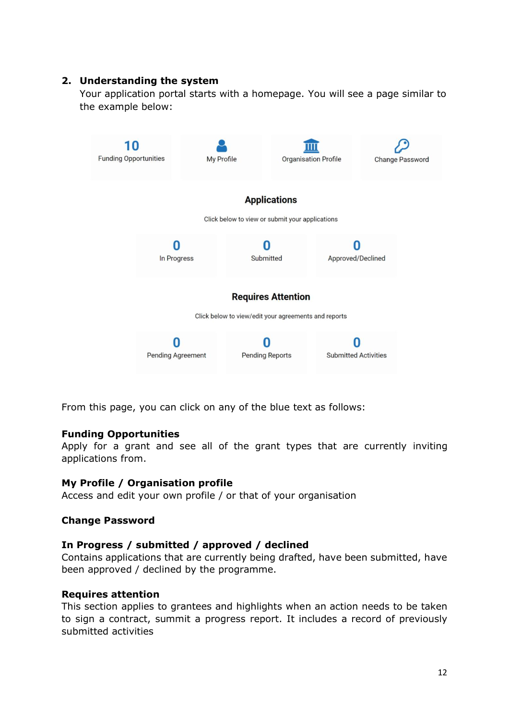# **2. Understanding the system**

Your application portal starts with a homepage. You will see a page similar to the example below:



From this page, you can click on any of the blue text as follows:

## **Funding Opportunities**

Apply for a grant and see all of the grant types that are currently inviting applications from.

# **My Profile / Organisation profile**

Access and edit your own profile / or that of your organisation

## **Change Password**

## **In Progress / submitted / approved / declined**

Contains applications that are currently being drafted, have been submitted, have been approved / declined by the programme.

## **Requires attention**

This section applies to grantees and highlights when an action needs to be taken to sign a contract, summit a progress report. It includes a record of previously submitted activities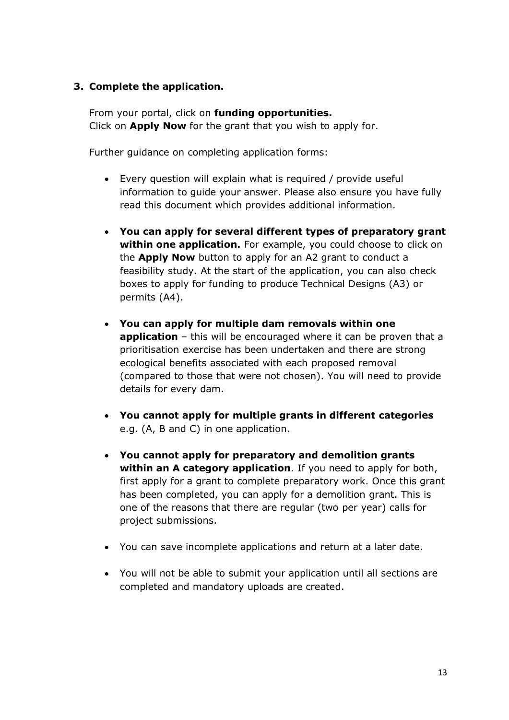# **3. Complete the application.**

From your portal, click on **funding opportunities.** Click on **Apply Now** for the grant that you wish to apply for.

Further guidance on completing application forms:

- Every question will explain what is required / provide useful information to guide your answer. Please also ensure you have fully read this document which provides additional information.
- **You can apply for several different types of preparatory grant within one application.** For example, you could choose to click on the **Apply Now** button to apply for an A2 grant to conduct a feasibility study. At the start of the application, you can also check boxes to apply for funding to produce Technical Designs (A3) or permits (A4).
- **You can apply for multiple dam removals within one application** – this will be encouraged where it can be proven that a prioritisation exercise has been undertaken and there are strong ecological benefits associated with each proposed removal (compared to those that were not chosen). You will need to provide details for every dam.
- **You cannot apply for multiple grants in different categories**  e.g. (A, B and C) in one application.
- **You cannot apply for preparatory and demolition grants within an A category application**. If you need to apply for both, first apply for a grant to complete preparatory work. Once this grant has been completed, you can apply for a demolition grant. This is one of the reasons that there are regular (two per year) calls for project submissions.
- You can save incomplete applications and return at a later date.
- You will not be able to submit your application until all sections are completed and mandatory uploads are created.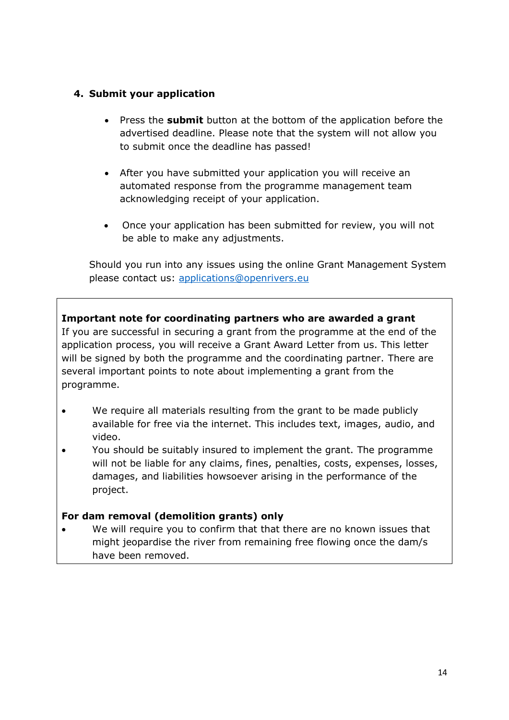# **4. Submit your application**

- Press the **submit** button at the bottom of the application before the advertised deadline. Please note that the system will not allow you to submit once the deadline has passed!
- After you have submitted your application you will receive an automated response from the programme management team acknowledging receipt of your application.
- Once your application has been submitted for review, you will not be able to make any adjustments.

<span id="page-13-0"></span>Should you run into any issues using the online Grant Management System please contact us: [applications@openrivers.eu](mailto:applications@openrivers.eu)

**Important note for coordinating partners who are awarded a grant** If you are successful in securing a grant from the programme at the end of the application process, you will receive a Grant Award Letter from us. This letter will be signed by both the programme and the coordinating partner. There are several important points to note about implementing a grant from the programme.

- We require all materials resulting from the grant to be made publicly available for free via the internet. This includes text, images, audio, and video.
- You should be suitably insured to implement the grant. The programme will not be liable for any claims, fines, penalties, costs, expenses, losses, damages, and liabilities howsoever arising in the performance of the project.

# **For dam removal (demolition grants) only**

We will require you to confirm that that there are no known issues that might jeopardise the river from remaining free flowing once the dam/s have been removed.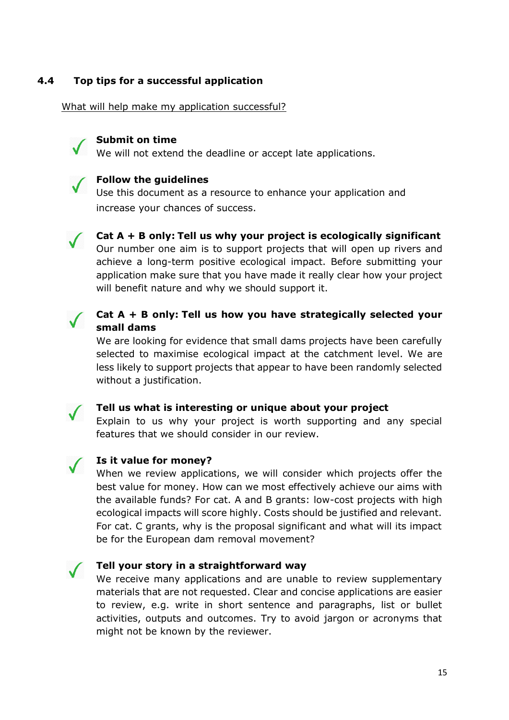# **4.4 Top tips for a successful application**

What will help make my application successful?



#### **Submit on time**

We will not extend the deadline or accept late applications.



# **Follow the guidelines**

Use this document as a resource to enhance your application and increase your chances of success.



**Cat A + B only: Tell us why your project is ecologically significant** Our number one aim is to support projects that will open up rivers and achieve a long-term positive ecological impact. Before submitting your application make sure that you have made it really clear how your project will benefit nature and why we should support it.



# **Cat A + B only: Tell us how you have strategically selected your small dams**

We are looking for evidence that small dams projects have been carefully selected to maximise ecological impact at the catchment level. We are less likely to support projects that appear to have been randomly selected without a justification.



## **Tell us what is interesting or unique about your project**

Explain to us why your project is worth supporting and any special features that we should consider in our review.



## **Is it value for money?**

When we review applications, we will consider which projects offer the best value for money. How can we most effectively achieve our aims with the available funds? For cat. A and B grants: low-cost projects with high ecological impacts will score highly. Costs should be justified and relevant. For cat. C grants, why is the proposal significant and what will its impact be for the European dam removal movement?



#### **Tell your story in a straightforward way**

We receive many applications and are unable to review supplementary materials that are not requested. Clear and concise applications are easier to review, e.g. write in short sentence and paragraphs, list or bullet activities, outputs and outcomes. Try to avoid jargon or acronyms that might not be known by the reviewer.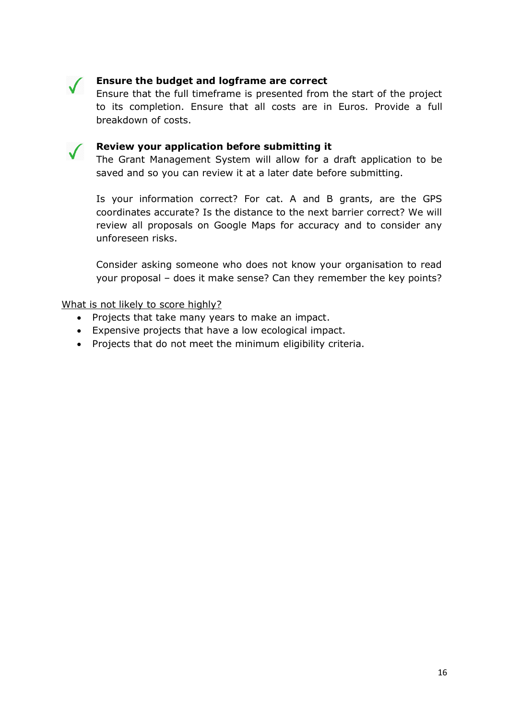

# **Ensure the budget and logframe are correct**

Ensure that the full timeframe is presented from the start of the project to its completion. Ensure that all costs are in Euros. Provide a full breakdown of costs.



## **Review your application before submitting it**

The Grant Management System will allow for a draft application to be saved and so you can review it at a later date before submitting.

Is your information correct? For cat. A and B grants, are the GPS coordinates accurate? Is the distance to the next barrier correct? We will review all proposals on Google Maps for accuracy and to consider any unforeseen risks.

Consider asking someone who does not know your organisation to read your proposal – does it make sense? Can they remember the key points?

What is not likely to score highly?

- Projects that take many years to make an impact.
- Expensive projects that have a low ecological impact.
- Projects that do not meet the minimum eligibility criteria.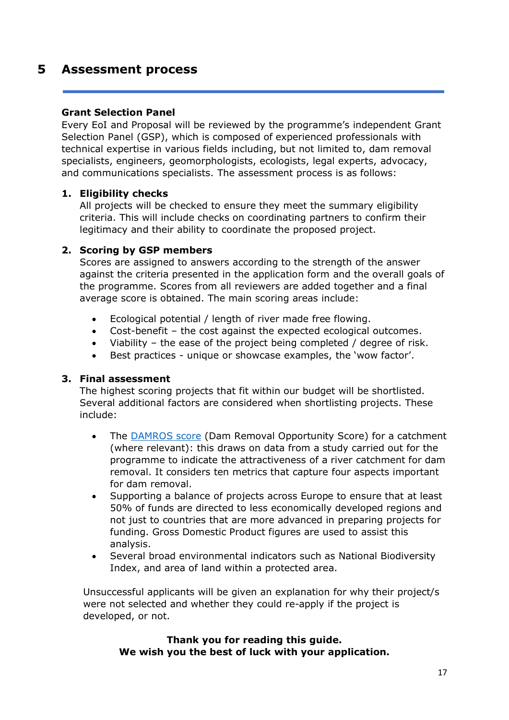# <span id="page-16-0"></span>**5 Assessment process**

# **Grant Selection Panel**

Every EoI and Proposal will be reviewed by the programme's independent Grant Selection Panel (GSP), which is composed of experienced professionals with technical expertise in various fields including, but not limited to, dam removal specialists, engineers, geomorphologists, ecologists, legal experts, advocacy, and communications specialists. The assessment process is as follows:

# **1. Eligibility checks**

All projects will be checked to ensure they meet the summary eligibility criteria. This will include checks on coordinating partners to confirm their legitimacy and their ability to coordinate the proposed project.

# **2. Scoring by GSP members**

Scores are assigned to answers according to the strength of the answer against the criteria presented in the application form and the overall goals of the programme. Scores from all reviewers are added together and a final average score is obtained. The main scoring areas include:

- Ecological potential / length of river made free flowing.
- Cost-benefit the cost against the expected ecological outcomes.
- Viability the ease of the project being completed / degree of risk.
- Best practices unique or showcase examples, the 'wow factor'.

# **3. Final assessment**

The highest scoring projects that fit within our budget will be shortlisted. Several additional factors are considered when shortlisting projects. These include:

- The [DAMROS score](https://openrivers.eu/wp-content/uploads/2021/09/DAMROS-and-its-use-by-the-programme.pdf) (Dam Removal Opportunity Score) for a catchment (where relevant): this draws on data from a study carried out for the programme to indicate the attractiveness of a river catchment for dam removal. It considers ten metrics that capture four aspects important for dam removal.
- Supporting a balance of projects across Europe to ensure that at least 50% of funds are directed to less economically developed regions and not just to countries that are more advanced in preparing projects for funding. Gross Domestic Product figures are used to assist this analysis.
- Several broad environmental indicators such as National Biodiversity Index, and area of land within a protected area.

Unsuccessful applicants will be given an explanation for why their project/s were not selected and whether they could re-apply if the project is developed, or not.

# **Thank you for reading this guide. We wish you the best of luck with your application.**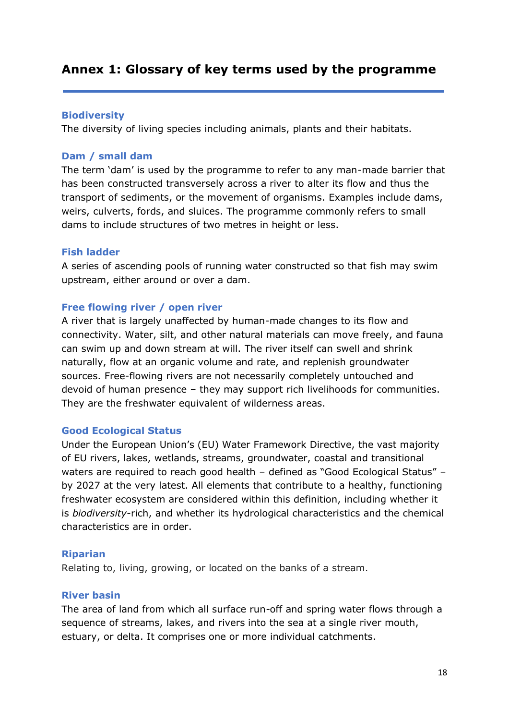# <span id="page-17-0"></span>**Annex 1: Glossary of key terms used by the programme**

## **Biodiversity**

The diversity of living species including animals, plants and their habitats.

## **Dam / small dam**

The term 'dam' is used by the programme to refer to any man-made barrier that has been constructed transversely across a river to alter its flow and thus the transport of sediments, or the movement of organisms. Examples include dams, weirs, culverts, fords, and sluices. The programme commonly refers to small dams to include structures of two metres in height or less.

## **Fish ladder**

A series of ascending pools of running water constructed so that fish may swim upstream, either around or over a dam.

## **Free flowing river / open river**

A river that is largely unaffected by human-made changes to its flow and connectivity. Water, silt, and other natural materials can move freely, and fauna can swim up and down stream at will. The river itself can swell and shrink naturally, flow at an organic volume and rate, and replenish groundwater sources. Free-flowing rivers are not necessarily completely untouched and devoid of human presence – they may support rich livelihoods for communities. They are the freshwater equivalent of wilderness areas.

## **Good Ecological Status**

Under the European Union's (EU) Water Framework Directive, the vast majority of EU rivers, lakes, wetlands, streams, groundwater, coastal and transitional waters are required to reach good health – defined as "Good Ecological Status" – by 2027 at the very latest. All elements that contribute to a healthy, functioning freshwater ecosystem are considered within this definition, including whether it is *biodiversity*-rich, and whether its hydrological characteristics and the chemical characteristics are in order.

# **Riparian**

Relating to, living, growing, or located on the banks of a stream.

## **River basin**

The area of land from which all surface run-off and spring water flows through a sequence of streams, lakes, and rivers into the sea at a single river mouth, estuary, or delta. It comprises one or more individual catchments.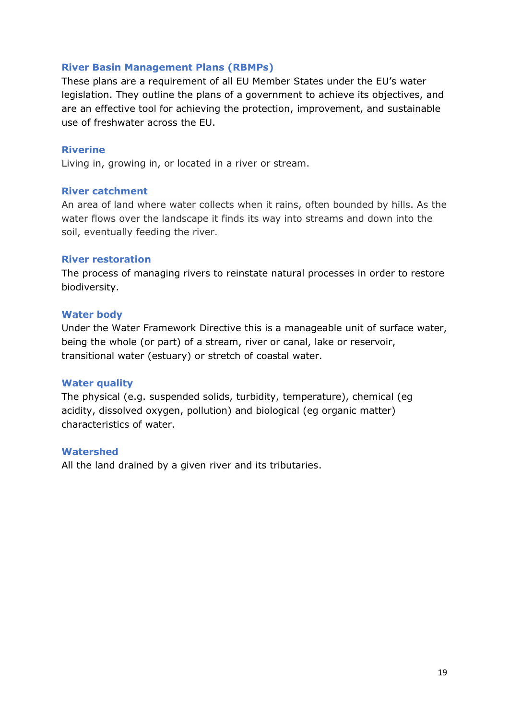## **River Basin Management Plans (RBMPs)**

These plans are a requirement of all EU Member States under the EU's water legislation. They outline the plans of a government to achieve its objectives, and are an effective tool for achieving the protection, improvement, and sustainable use of freshwater across the EU.

## **Riverine**

Living in, growing in, or located in a river or stream.

## **River catchment**

An area of land where water collects when it rains, often bounded by hills. As the water flows over the landscape it finds its way into streams and down into the soil, eventually feeding the river.

## **River restoration**

The process of managing rivers to reinstate natural processes in order to restore biodiversity.

## **Water body**

Under the Water Framework Directive this is a manageable unit of surface water, being the whole (or part) of a stream, river or canal, lake or reservoir, transitional water (estuary) or stretch of coastal water.

## **Water quality**

The physical (e.g. suspended solids, turbidity, temperature), chemical (eg acidity, dissolved oxygen, pollution) and biological (eg organic matter) characteristics of water.

## **Watershed**

All the land drained by a given river and its tributaries.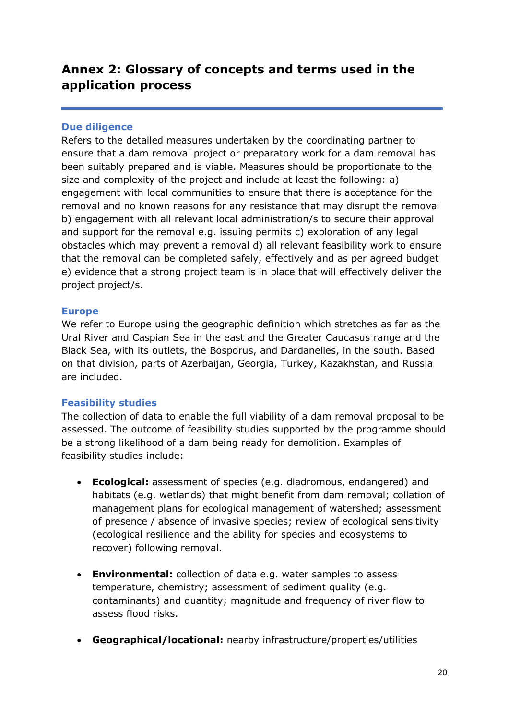# <span id="page-19-0"></span>**Annex 2: Glossary of concepts and terms used in the application process**

# **Due diligence**

Refers to the detailed measures undertaken by the coordinating partner to ensure that a dam removal project or preparatory work for a dam removal has been suitably prepared and is viable. Measures should be proportionate to the size and complexity of the project and include at least the following: a) engagement with local communities to ensure that there is acceptance for the removal and no known reasons for any resistance that may disrupt the removal b) engagement with all relevant local administration/s to secure their approval and support for the removal e.g. issuing permits c) exploration of any legal obstacles which may prevent a removal d) all relevant feasibility work to ensure that the removal can be completed safely, effectively and as per agreed budget e) evidence that a strong project team is in place that will effectively deliver the project project/s.

# **Europe**

We refer to Europe using the geographic definition which stretches as far as the Ural River and Caspian Sea in the east and the Greater Caucasus range and the Black Sea, with its outlets, the Bosporus, and Dardanelles, in the south. Based on that division, parts of Azerbaijan, Georgia, Turkey, Kazakhstan, and Russia are included.

# **Feasibility studies**

The collection of data to enable the full viability of a dam removal proposal to be assessed. The outcome of feasibility studies supported by the programme should be a strong likelihood of a dam being ready for demolition. Examples of feasibility studies include:

- **Ecological:** assessment of species (e.g. diadromous, endangered) and habitats (e.g. wetlands) that might benefit from dam removal; collation of management plans for ecological management of watershed; assessment of presence / absence of invasive species; review of ecological sensitivity (ecological resilience and the ability for species and ecosystems to recover) following removal.
- **Environmental:** collection of data e.g. water samples to assess temperature, chemistry; assessment of sediment quality (e.g. contaminants) and quantity; magnitude and frequency of river flow to assess flood risks.
- **Geographical/locational:** nearby infrastructure/properties/utilities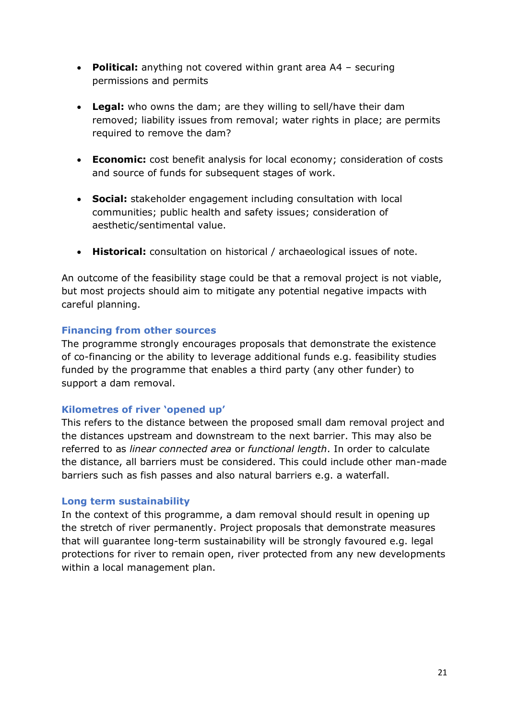- **Political:** anything not covered within grant area A4 securing permissions and permits
- **Legal:** who owns the dam; are they willing to sell/have their dam removed; liability issues from removal; water rights in place; are permits required to remove the dam?
- **Economic:** cost benefit analysis for local economy; consideration of costs and source of funds for subsequent stages of work.
- **Social:** stakeholder engagement including consultation with local communities; public health and safety issues; consideration of aesthetic/sentimental value.
- **Historical:** consultation on historical / archaeological issues of note.

An outcome of the feasibility stage could be that a removal project is not viable, but most projects should aim to mitigate any potential negative impacts with careful planning.

# **Financing from other sources**

The programme strongly encourages proposals that demonstrate the existence of co-financing or the ability to leverage additional funds e.g. feasibility studies funded by the programme that enables a third party (any other funder) to support a dam removal.

# **Kilometres of river 'opened up'**

This refers to the distance between the proposed small dam removal project and the distances upstream and downstream to the next barrier. This may also be referred to as *linear connected area* or *functional length*. In order to calculate the distance, all barriers must be considered. This could include other man-made barriers such as fish passes and also natural barriers e.g. a waterfall.

# **Long term sustainability**

In the context of this programme, a dam removal should result in opening up the stretch of river permanently. Project proposals that demonstrate measures that will guarantee long-term sustainability will be strongly favoured e.g. legal protections for river to remain open, river protected from any new developments within a local management plan.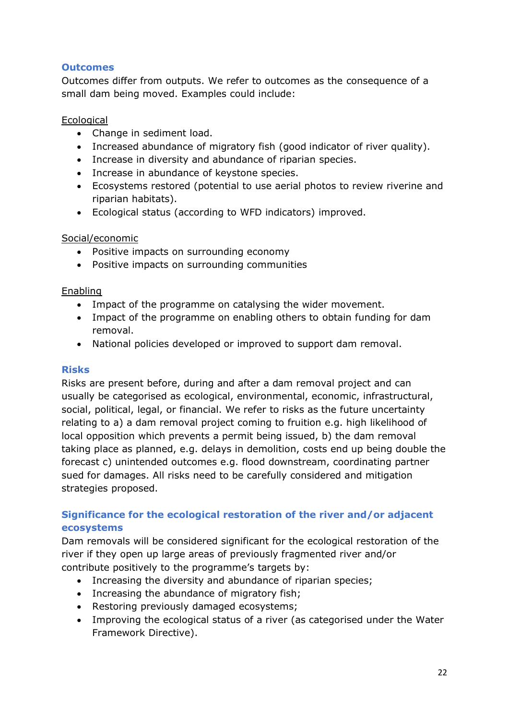# **Outcomes**

Outcomes differ from outputs. We refer to outcomes as the consequence of a small dam being moved. Examples could include:

# Ecological

- Change in sediment load.
- Increased abundance of migratory fish (good indicator of river quality).
- Increase in diversity and abundance of riparian species.
- Increase in abundance of keystone species.
- Ecosystems restored (potential to use aerial photos to review riverine and riparian habitats).
- Ecological status (according to WFD indicators) improved.

# Social/economic

- Positive impacts on surrounding economy
- Positive impacts on surrounding communities

# **Enabling**

- Impact of the programme on catalysing the wider movement.
- Impact of the programme on enabling others to obtain funding for dam removal.
- National policies developed or improved to support dam removal.

# **Risks**

Risks are present before, during and after a dam removal project and can usually be categorised as ecological, environmental, economic, infrastructural, social, political, legal, or financial. We refer to risks as the future uncertainty relating to a) a dam removal project coming to fruition e.g. high likelihood of local opposition which prevents a permit being issued, b) the dam removal taking place as planned, e.g. delays in demolition, costs end up being double the forecast c) unintended outcomes e.g. flood downstream, coordinating partner sued for damages. All risks need to be carefully considered and mitigation strategies proposed.

# **Significance for the ecological restoration of the river and/or adjacent ecosystems**

Dam removals will be considered significant for the ecological restoration of the river if they open up large areas of previously fragmented river and/or contribute positively to the programme's targets by:

- Increasing the diversity and abundance of riparian species;
- Increasing the abundance of migratory fish;
- Restoring previously damaged ecosystems;
- Improving the ecological status of a river (as categorised under the Water Framework Directive).